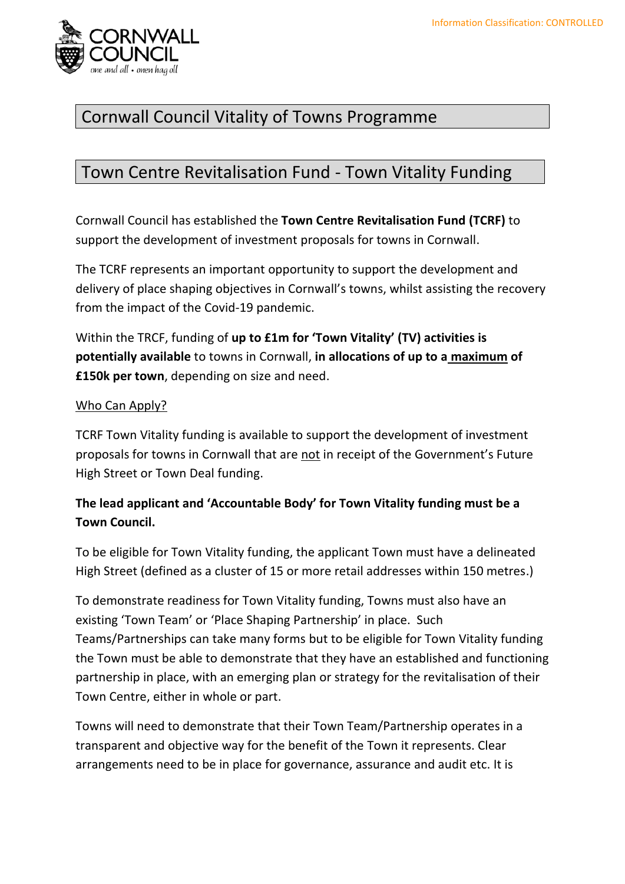

### Cornwall Council Vitality of Towns Programme

### Town Centre Revitalisation Fund - Town Vitality Funding

Cornwall Council has established the **Town Centre Revitalisation Fund (TCRF)** to support the development of investment proposals for towns in Cornwall.

The TCRF represents an important opportunity to support the development and delivery of place shaping objectives in Cornwall's towns, whilst assisting the recovery from the impact of the Covid-19 pandemic.

Within the TRCF, funding of **up to £1m for 'Town Vitality' (TV) activities is potentially available** to towns in Cornwall, **in allocations of up to a maximum of £150k per town**, depending on size and need.

#### Who Can Apply?

TCRF Town Vitality funding is available to support the development of investment proposals for towns in Cornwall that are not in receipt of the Government's Future High Street or Town Deal funding.

#### **The lead applicant and 'Accountable Body' for Town Vitality funding must be a Town Council.**

To be eligible for Town Vitality funding, the applicant Town must have a delineated High Street (defined as a cluster of 15 or more retail addresses within 150 metres.)

To demonstrate readiness for Town Vitality funding, Towns must also have an existing 'Town Team' or 'Place Shaping Partnership' in place. Such Teams/Partnerships can take many forms but to be eligible for Town Vitality funding the Town must be able to demonstrate that they have an established and functioning partnership in place, with an emerging plan or strategy for the revitalisation of their Town Centre, either in whole or part.

Towns will need to demonstrate that their Town Team/Partnership operates in a transparent and objective way for the benefit of the Town it represents. Clear arrangements need to be in place for governance, assurance and audit etc. It is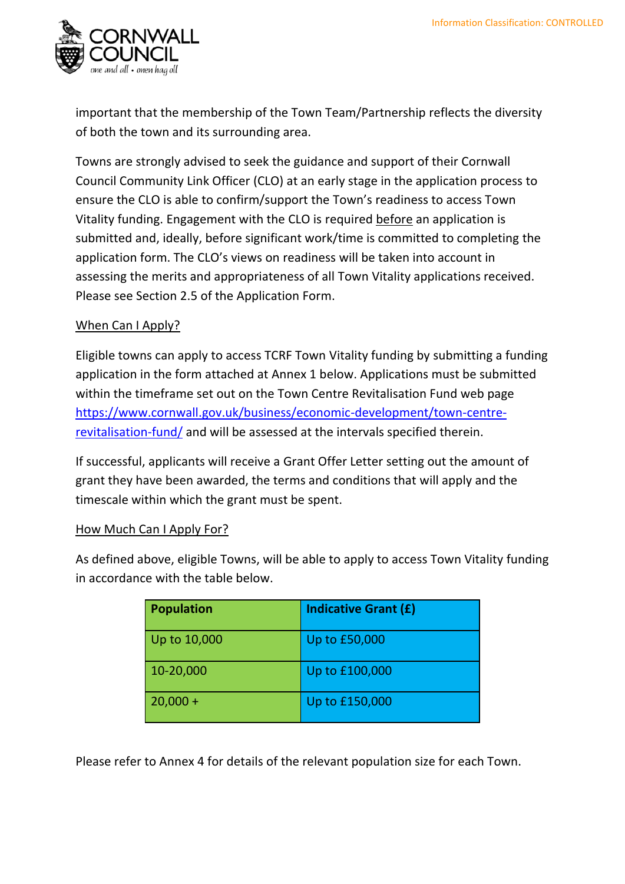

important that the membership of the Town Team/Partnership reflects the diversity of both the town and its surrounding area.

Towns are strongly advised to seek the guidance and support of their Cornwall Council Community Link Officer (CLO) at an early stage in the application process to ensure the CLO is able to confirm/support the Town's readiness to access Town Vitality funding. Engagement with the CLO is required before an application is submitted and, ideally, before significant work/time is committed to completing the application form. The CLO's views on readiness will be taken into account in assessing the merits and appropriateness of all Town Vitality applications received. Please see Section 2.5 of the Application Form.

#### When Can I Apply?

Eligible towns can apply to access TCRF Town Vitality funding by submitting a funding application in the form attached at Annex 1 below. Applications must be submitted within the timeframe set out on the Town Centre Revitalisation Fund web page [https://www.cornwall.gov.uk/business/economic-development/town-centre](https://www.cornwall.gov.uk/business/economic-development/town-centre-revitalisation-fund/)[revitalisation-fund/](https://www.cornwall.gov.uk/business/economic-development/town-centre-revitalisation-fund/) and will be assessed at the intervals specified therein.

If successful, applicants will receive a Grant Offer Letter setting out the amount of grant they have been awarded, the terms and conditions that will apply and the timescale within which the grant must be spent.

#### How Much Can I Apply For?

As defined above, eligible Towns, will be able to apply to access Town Vitality funding in accordance with the table below.

| <b>Population</b> | <b>Indicative Grant (£)</b> |
|-------------------|-----------------------------|
| Up to 10,000      | Up to £50,000               |
| 10-20,000         | Up to £100,000              |
| $20,000 +$        | Up to £150,000              |

Please refer to Annex 4 for details of the relevant population size for each Town.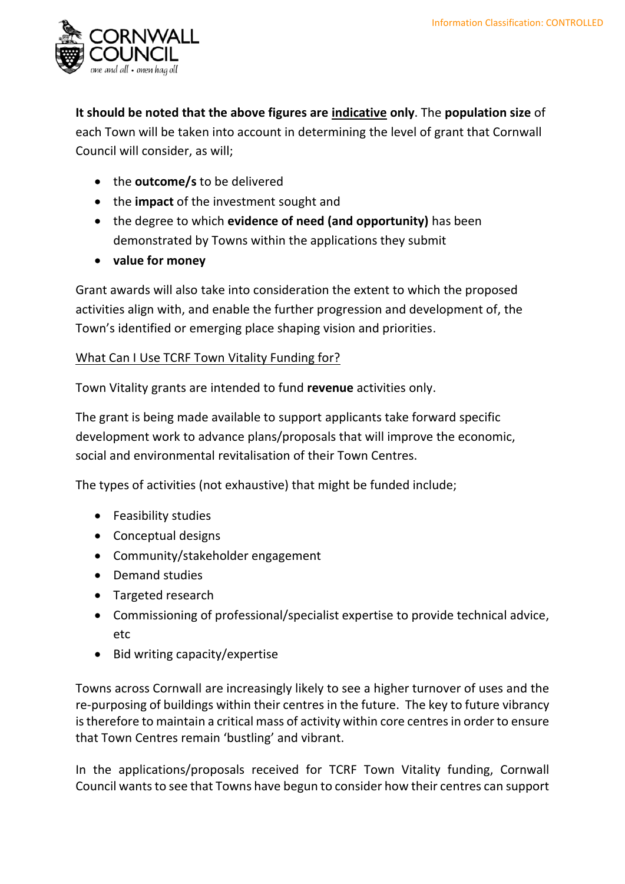

**It should be noted that the above figures are indicative only**. The **population size** of each Town will be taken into account in determining the level of grant that Cornwall Council will consider, as will;

- the **outcome/s** to be delivered
- the **impact** of the investment sought and
- the degree to which **evidence of need (and opportunity)** has been demonstrated by Towns within the applications they submit
- **value for money**

Grant awards will also take into consideration the extent to which the proposed activities align with, and enable the further progression and development of, the Town's identified or emerging place shaping vision and priorities.

#### What Can I Use TCRF Town Vitality Funding for?

Town Vitality grants are intended to fund **revenue** activities only.

The grant is being made available to support applicants take forward specific development work to advance plans/proposals that will improve the economic, social and environmental revitalisation of their Town Centres.

The types of activities (not exhaustive) that might be funded include;

- Feasibility studies
- Conceptual designs
- Community/stakeholder engagement
- Demand studies
- Targeted research
- Commissioning of professional/specialist expertise to provide technical advice, etc
- Bid writing capacity/expertise

Towns across Cornwall are increasingly likely to see a higher turnover of uses and the re-purposing of buildings within their centres in the future. The key to future vibrancy is therefore to maintain a critical mass of activity within core centres in order to ensure that Town Centres remain 'bustling' and vibrant.

In the applications/proposals received for TCRF Town Vitality funding, Cornwall Council wants to see that Towns have begun to consider how their centres can support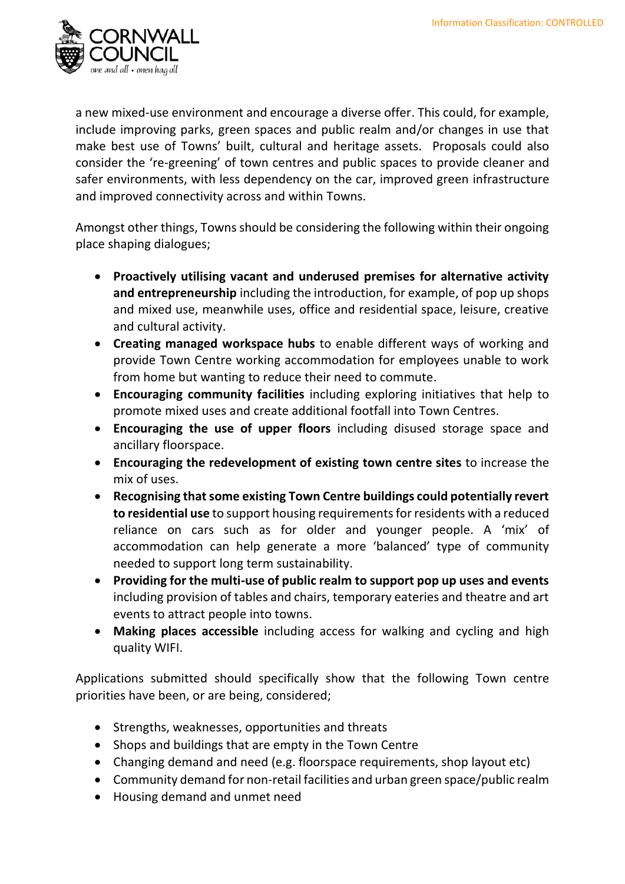

a new mixed-use environment and encourage a diverse offer. This could, for example, include improving parks, green spaces and public realm and/or changes in use that make best use of Towns' built, cultural and heritage assets. Proposals could also consider the 're-greening' of town centres and public spaces to provide cleaner and safer environments, with less dependency on the car, improved green infrastructure and improved connectivity across and within Towns.

Amongst other things, Towns should be considering the following within their ongoing place shaping dialogues;

- **Proactively utilising vacant and underused premises for alternative activity and entrepreneurship** including the introduction, for example, of pop up shops and mixed use, meanwhile uses, office and residential space, leisure, creative and cultural activity.
- **Creating managed workspace hubs** to enable different ways of working and provide Town Centre working accommodation for employees unable to work from home but wanting to reduce their need to commute.
- **Encouraging community facilities** including exploring initiatives that help to promote mixed uses and create additional footfall into Town Centres.
- **Encouraging the use of upper floors** including disused storage space and ancillary floorspace.
- **Encouraging the redevelopment of existing town centre sites** to increase the mix of uses.
- **Recognising that some existing Town Centre buildings could potentially revert to residential use** to support housing requirements for residents with a reduced reliance on cars such as for older and younger people. A 'mix' of accommodation can help generate a more 'balanced' type of community needed to support long term sustainability.
- **Providing for the multi-use of public realm to support pop up uses and events**  including provision of tables and chairs, temporary eateries and theatre and art events to attract people into towns.
- **Making places accessible** including access for walking and cycling and high quality WIFI.

Applications submitted should specifically show that the following Town centre priorities have been, or are being, considered;

- Strengths, weaknesses, opportunities and threats
- Shops and buildings that are empty in the Town Centre
- Changing demand and need (e.g. floorspace requirements, shop layout etc)
- Community demand for non-retail facilities and urban green space/public realm
- Housing demand and unmet need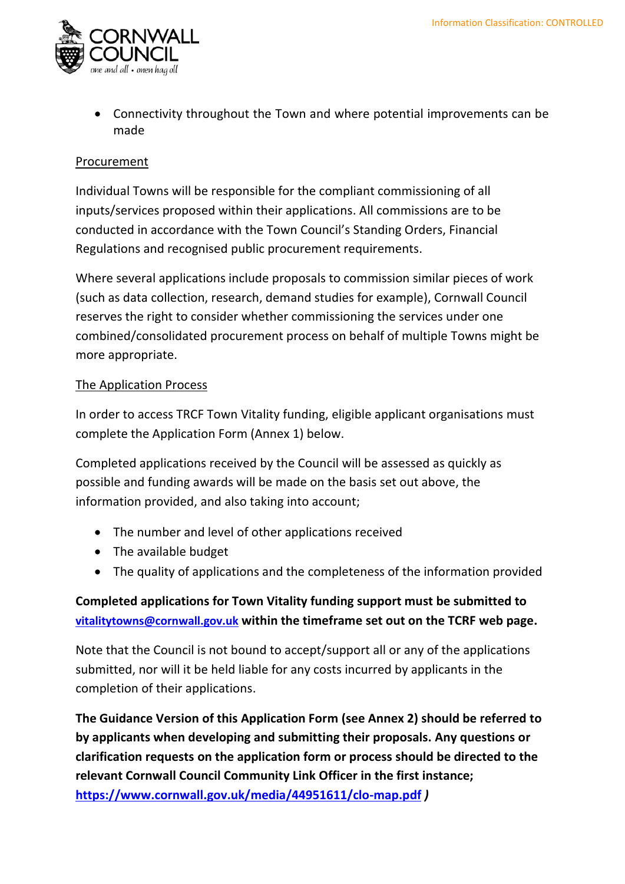

• Connectivity throughout the Town and where potential improvements can be made

#### Procurement

Individual Towns will be responsible for the compliant commissioning of all inputs/services proposed within their applications. All commissions are to be conducted in accordance with the Town Council's Standing Orders, Financial Regulations and recognised public procurement requirements.

Where several applications include proposals to commission similar pieces of work (such as data collection, research, demand studies for example), Cornwall Council reserves the right to consider whether commissioning the services under one combined/consolidated procurement process on behalf of multiple Towns might be more appropriate.

#### The Application Process

In order to access TRCF Town Vitality funding, eligible applicant organisations must complete the Application Form (Annex 1) below.

Completed applications received by the Council will be assessed as quickly as possible and funding awards will be made on the basis set out above, the information provided, and also taking into account;

- The number and level of other applications received
- The available budget
- The quality of applications and the completeness of the information provided

#### **Completed applications for Town Vitality funding support must be submitted to [vitalitytowns@cornwall.gov.uk](mailto:vitalitytowns@cornwall.gov.uk) within the timeframe set out on the TCRF web page.**

Note that the Council is not bound to accept/support all or any of the applications submitted, nor will it be held liable for any costs incurred by applicants in the completion of their applications.

**The Guidance Version of this Application Form (see Annex 2) should be referred to by applicants when developing and submitting their proposals. Any questions or clarification requests on the application form or process should be directed to the relevant Cornwall Council Community Link Officer in the first instance; <https://www.cornwall.gov.uk/media/44951611/clo-map.pdf>** *)*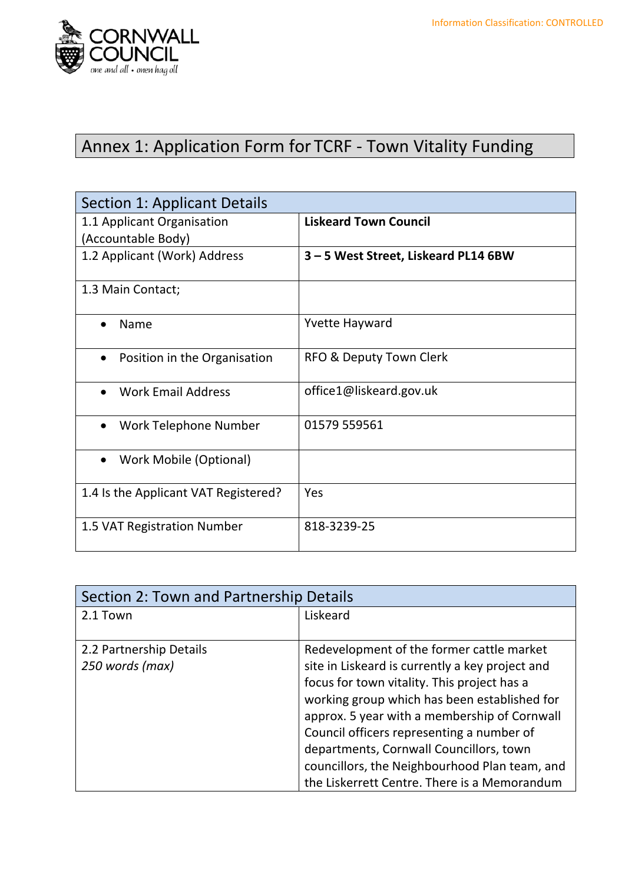

# Annex 1: Application Form for TCRF - Town Vitality Funding

| Section 1: Applicant Details               |                                    |
|--------------------------------------------|------------------------------------|
| 1.1 Applicant Organisation                 | <b>Liskeard Town Council</b>       |
| (Accountable Body)                         |                                    |
| 1.2 Applicant (Work) Address               | 3-5 West Street, Liskeard PL14 6BW |
| 1.3 Main Contact;                          |                                    |
| Name                                       | <b>Yvette Hayward</b>              |
| Position in the Organisation<br>$\bullet$  | RFO & Deputy Town Clerk            |
| <b>Work Email Address</b>                  | office1@liskeard.gov.uk            |
| Work Telephone Number<br>$\bullet$         | 01579 559561                       |
| <b>Work Mobile (Optional)</b><br>$\bullet$ |                                    |
| 1.4 Is the Applicant VAT Registered?       | Yes                                |
| 1.5 VAT Registration Number                | 818-3239-25                        |

| Section 2: Town and Partnership Details |                                                 |
|-----------------------------------------|-------------------------------------------------|
| 2.1 Town                                | Liskeard                                        |
| 2.2 Partnership Details                 | Redevelopment of the former cattle market       |
| 250 words (max)                         | site in Liskeard is currently a key project and |
|                                         | focus for town vitality. This project has a     |
|                                         | working group which has been established for    |
|                                         | approx. 5 year with a membership of Cornwall    |
|                                         | Council officers representing a number of       |
|                                         | departments, Cornwall Councillors, town         |
|                                         | councillors, the Neighbourhood Plan team, and   |
|                                         | the Liskerrett Centre. There is a Memorandum    |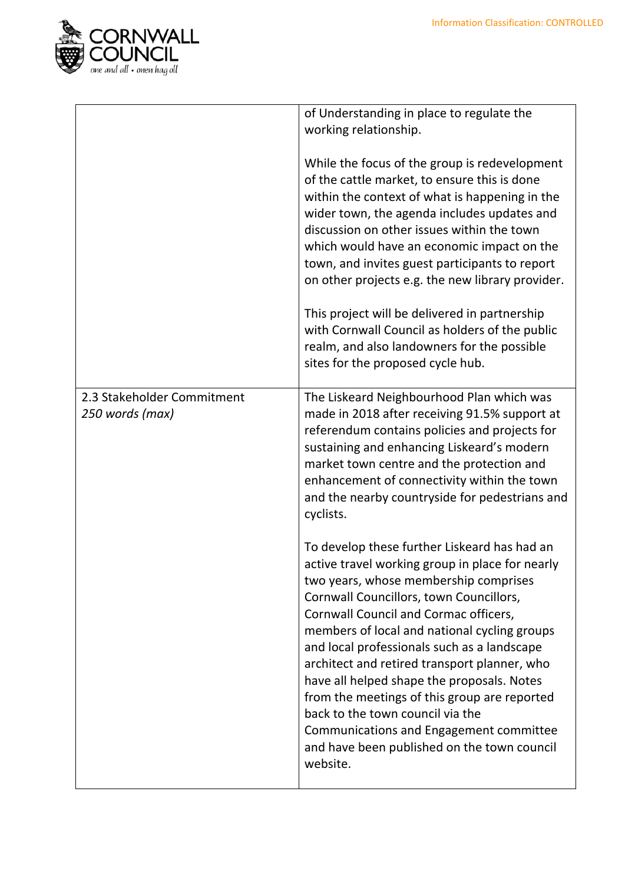

|                                               | of Understanding in place to regulate the<br>working relationship.                                                                                                                                                                                                                                                                                                                                                                                                                                                                                                                                                  |
|-----------------------------------------------|---------------------------------------------------------------------------------------------------------------------------------------------------------------------------------------------------------------------------------------------------------------------------------------------------------------------------------------------------------------------------------------------------------------------------------------------------------------------------------------------------------------------------------------------------------------------------------------------------------------------|
|                                               | While the focus of the group is redevelopment<br>of the cattle market, to ensure this is done<br>within the context of what is happening in the<br>wider town, the agenda includes updates and<br>discussion on other issues within the town<br>which would have an economic impact on the<br>town, and invites guest participants to report<br>on other projects e.g. the new library provider.<br>This project will be delivered in partnership                                                                                                                                                                   |
|                                               | with Cornwall Council as holders of the public<br>realm, and also landowners for the possible<br>sites for the proposed cycle hub.                                                                                                                                                                                                                                                                                                                                                                                                                                                                                  |
| 2.3 Stakeholder Commitment<br>250 words (max) | The Liskeard Neighbourhood Plan which was<br>made in 2018 after receiving 91.5% support at<br>referendum contains policies and projects for<br>sustaining and enhancing Liskeard's modern<br>market town centre and the protection and<br>enhancement of connectivity within the town<br>and the nearby countryside for pedestrians and<br>cyclists.                                                                                                                                                                                                                                                                |
|                                               | To develop these further Liskeard has had an<br>active travel working group in place for nearly<br>two years, whose membership comprises<br>Cornwall Councillors, town Councillors,<br>Cornwall Council and Cormac officers,<br>members of local and national cycling groups<br>and local professionals such as a landscape<br>architect and retired transport planner, who<br>have all helped shape the proposals. Notes<br>from the meetings of this group are reported<br>back to the town council via the<br>Communications and Engagement committee<br>and have been published on the town council<br>website. |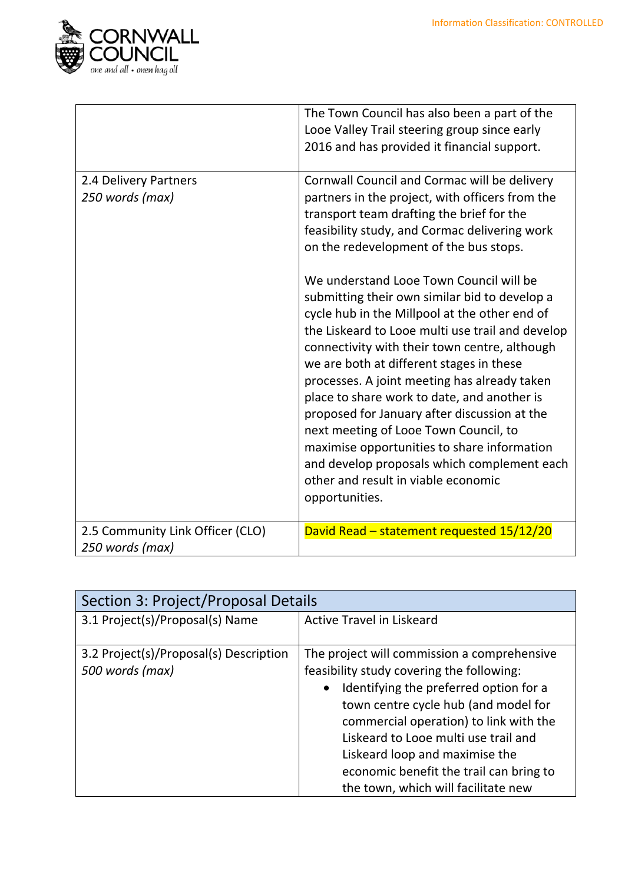

|                                                     | The Town Council has also been a part of the<br>Looe Valley Trail steering group since early<br>2016 and has provided it financial support.                                                                                                                                                                                                                                                                                                                                                                                                                                                                                               |
|-----------------------------------------------------|-------------------------------------------------------------------------------------------------------------------------------------------------------------------------------------------------------------------------------------------------------------------------------------------------------------------------------------------------------------------------------------------------------------------------------------------------------------------------------------------------------------------------------------------------------------------------------------------------------------------------------------------|
| 2.4 Delivery Partners<br>250 words (max)            | Cornwall Council and Cormac will be delivery<br>partners in the project, with officers from the<br>transport team drafting the brief for the<br>feasibility study, and Cormac delivering work<br>on the redevelopment of the bus stops.                                                                                                                                                                                                                                                                                                                                                                                                   |
|                                                     | We understand Looe Town Council will be<br>submitting their own similar bid to develop a<br>cycle hub in the Millpool at the other end of<br>the Liskeard to Looe multi use trail and develop<br>connectivity with their town centre, although<br>we are both at different stages in these<br>processes. A joint meeting has already taken<br>place to share work to date, and another is<br>proposed for January after discussion at the<br>next meeting of Looe Town Council, to<br>maximise opportunities to share information<br>and develop proposals which complement each<br>other and result in viable economic<br>opportunities. |
| 2.5 Community Link Officer (CLO)<br>250 words (max) | David Read - statement requested 15/12/20                                                                                                                                                                                                                                                                                                                                                                                                                                                                                                                                                                                                 |

| Section 3: Project/Proposal Details                       |                                                                                                                                                                                                                                                                                                                                                        |
|-----------------------------------------------------------|--------------------------------------------------------------------------------------------------------------------------------------------------------------------------------------------------------------------------------------------------------------------------------------------------------------------------------------------------------|
| 3.1 Project(s)/Proposal(s) Name                           | <b>Active Travel in Liskeard</b>                                                                                                                                                                                                                                                                                                                       |
| 3.2 Project(s)/Proposal(s) Description<br>500 words (max) | The project will commission a comprehensive<br>feasibility study covering the following:<br>Identifying the preferred option for a<br>$\bullet$<br>town centre cycle hub (and model for<br>commercial operation) to link with the<br>Liskeard to Looe multi use trail and<br>Liskeard loop and maximise the<br>economic benefit the trail can bring to |
|                                                           | the town, which will facilitate new                                                                                                                                                                                                                                                                                                                    |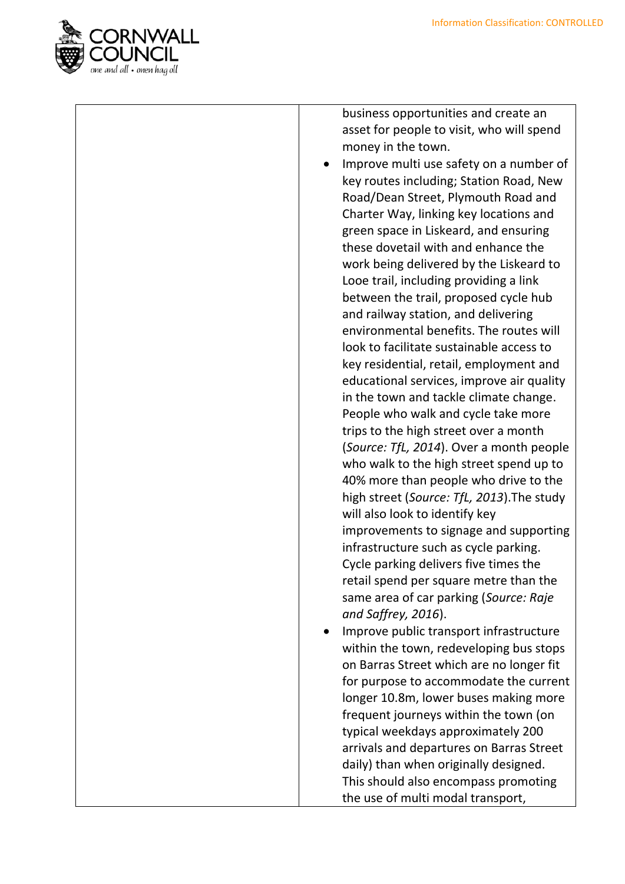

business opportunities and create an asset for people to visit, who will spend money in the town.

- Improve multi use safety on a number of key routes including; Station Road, New Road/Dean Street, Plymouth Road and Charter Way, linking key locations and green space in Liskeard, and ensuring these dovetail with and enhance the work being delivered by the Liskeard to Looe trail, including providing a link between the trail, proposed cycle hub and railway station, and delivering environmental benefits. The routes will look to facilitate sustainable access to key residential, retail, employment and educational services, improve air quality in the town and tackle climate change. People who walk and cycle take more trips to the high street over a month (*Source: TfL, 2014*). Over a month people who walk to the high street spend up to 40% more than people who drive to the high street (*Source: TfL, 2013*).The study will also look to identify key improvements to signage and supporting infrastructure such as cycle parking. Cycle parking delivers five times the retail spend per square metre than the same area of car parking (*Source: Raje and Saffrey, 2016*).
- Improve public transport infrastructure within the town, redeveloping bus stops on Barras Street which are no longer fit for purpose to accommodate the current longer 10.8m, lower buses making more frequent journeys within the town (on typical weekdays approximately 200 arrivals and departures on Barras Street daily) than when originally designed. This should also encompass promoting the use of multi modal transport,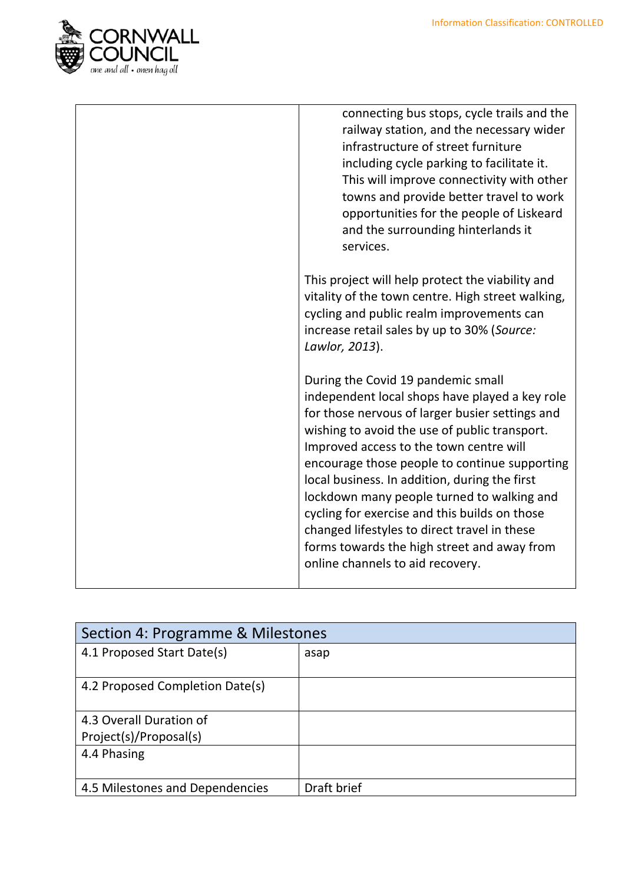

|  | connecting bus stops, cycle trails and the<br>railway station, and the necessary wider<br>infrastructure of street furniture<br>including cycle parking to facilitate it.<br>This will improve connectivity with other<br>towns and provide better travel to work<br>opportunities for the people of Liskeard<br>and the surrounding hinterlands it<br>services.                                                                                                                                                                                                        |
|--|-------------------------------------------------------------------------------------------------------------------------------------------------------------------------------------------------------------------------------------------------------------------------------------------------------------------------------------------------------------------------------------------------------------------------------------------------------------------------------------------------------------------------------------------------------------------------|
|  | This project will help protect the viability and<br>vitality of the town centre. High street walking,<br>cycling and public realm improvements can<br>increase retail sales by up to 30% (Source:<br>Lawlor, 2013).                                                                                                                                                                                                                                                                                                                                                     |
|  | During the Covid 19 pandemic small<br>independent local shops have played a key role<br>for those nervous of larger busier settings and<br>wishing to avoid the use of public transport.<br>Improved access to the town centre will<br>encourage those people to continue supporting<br>local business. In addition, during the first<br>lockdown many people turned to walking and<br>cycling for exercise and this builds on those<br>changed lifestyles to direct travel in these<br>forms towards the high street and away from<br>online channels to aid recovery. |

| Section 4: Programme & Milestones |             |
|-----------------------------------|-------------|
| 4.1 Proposed Start Date(s)        | asap        |
| 4.2 Proposed Completion Date(s)   |             |
| 4.3 Overall Duration of           |             |
| Project(s)/Proposal(s)            |             |
| 4.4 Phasing                       |             |
| 4.5 Milestones and Dependencies   | Draft brief |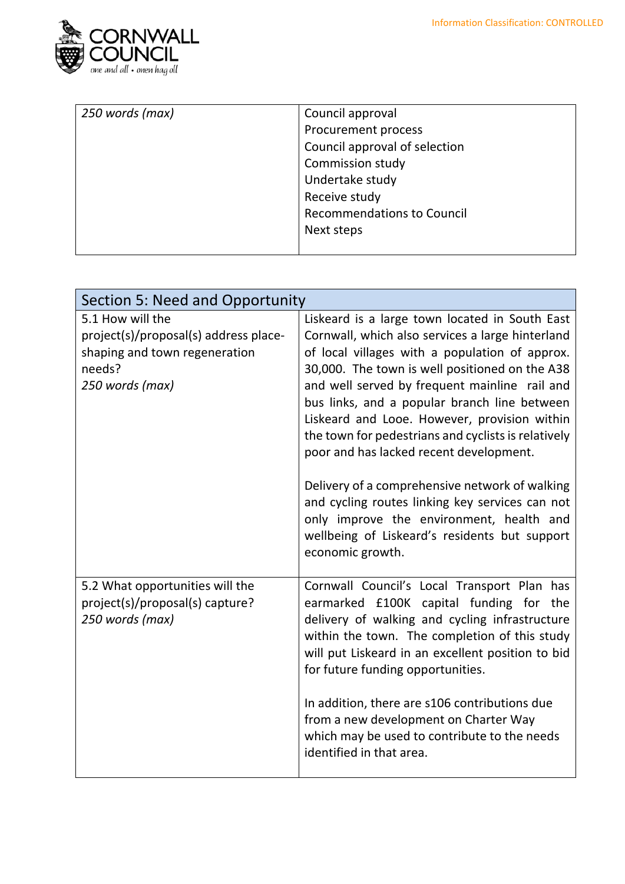

| 250 words (max) | Council approval                  |
|-----------------|-----------------------------------|
|                 | Procurement process               |
|                 | Council approval of selection     |
|                 | Commission study                  |
|                 | Undertake study                   |
|                 | Receive study                     |
|                 | <b>Recommendations to Council</b> |
|                 | Next steps                        |
|                 |                                   |

| Section 5: Need and Opportunity                                                                                         |                                                                                                                                                                                                                                                                                                                                                                                                                                                                                                                                                                                                                                                                                 |
|-------------------------------------------------------------------------------------------------------------------------|---------------------------------------------------------------------------------------------------------------------------------------------------------------------------------------------------------------------------------------------------------------------------------------------------------------------------------------------------------------------------------------------------------------------------------------------------------------------------------------------------------------------------------------------------------------------------------------------------------------------------------------------------------------------------------|
| 5.1 How will the<br>project(s)/proposal(s) address place-<br>shaping and town regeneration<br>needs?<br>250 words (max) | Liskeard is a large town located in South East<br>Cornwall, which also services a large hinterland<br>of local villages with a population of approx.<br>30,000. The town is well positioned on the A38<br>and well served by frequent mainline rail and<br>bus links, and a popular branch line between<br>Liskeard and Looe. However, provision within<br>the town for pedestrians and cyclists is relatively<br>poor and has lacked recent development.<br>Delivery of a comprehensive network of walking<br>and cycling routes linking key services can not<br>only improve the environment, health and<br>wellbeing of Liskeard's residents but support<br>economic growth. |
| 5.2 What opportunities will the<br>project(s)/proposal(s) capture?<br>250 words (max)                                   | Cornwall Council's Local Transport Plan has<br>earmarked £100K capital funding for the<br>delivery of walking and cycling infrastructure<br>within the town. The completion of this study<br>will put Liskeard in an excellent position to bid<br>for future funding opportunities.<br>In addition, there are s106 contributions due<br>from a new development on Charter Way<br>which may be used to contribute to the needs<br>identified in that area.                                                                                                                                                                                                                       |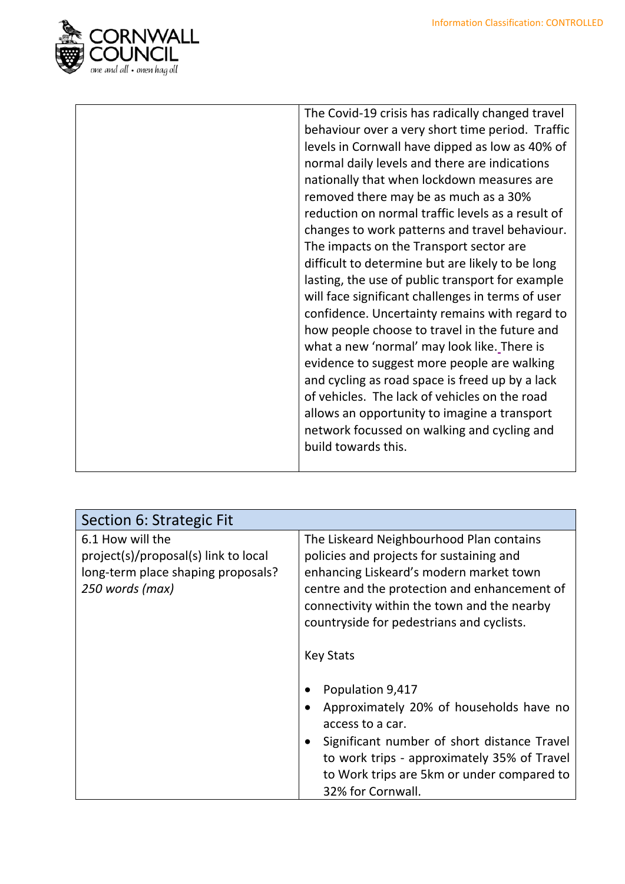

| The Covid-19 crisis has radically changed travel  |
|---------------------------------------------------|
| behaviour over a very short time period. Traffic  |
| levels in Cornwall have dipped as low as 40% of   |
| normal daily levels and there are indications     |
| nationally that when lockdown measures are        |
| removed there may be as much as a 30%             |
| reduction on normal traffic levels as a result of |
| changes to work patterns and travel behaviour.    |
| The impacts on the Transport sector are           |
| difficult to determine but are likely to be long  |
| lasting, the use of public transport for example  |
| will face significant challenges in terms of user |
| confidence. Uncertainty remains with regard to    |
| how people choose to travel in the future and     |
| what a new 'normal' may look like. There is       |
| evidence to suggest more people are walking       |
| and cycling as road space is freed up by a lack   |
| of vehicles. The lack of vehicles on the road     |
| allows an opportunity to imagine a transport      |
| network focussed on walking and cycling and       |
| build towards this.                               |
|                                                   |

| Section 6: Strategic Fit                                                                                          |                                                                                                                                                                                                                                                                                                                                                                                                                                                                                                                                                     |
|-------------------------------------------------------------------------------------------------------------------|-----------------------------------------------------------------------------------------------------------------------------------------------------------------------------------------------------------------------------------------------------------------------------------------------------------------------------------------------------------------------------------------------------------------------------------------------------------------------------------------------------------------------------------------------------|
| 6.1 How will the<br>project(s)/proposal(s) link to local<br>long-term place shaping proposals?<br>250 words (max) | The Liskeard Neighbourhood Plan contains<br>policies and projects for sustaining and<br>enhancing Liskeard's modern market town<br>centre and the protection and enhancement of<br>connectivity within the town and the nearby<br>countryside for pedestrians and cyclists.<br><b>Key Stats</b><br>Population 9,417<br>Approximately 20% of households have no<br>access to a car.<br>Significant number of short distance Travel<br>to work trips - approximately 35% of Travel<br>to Work trips are 5km or under compared to<br>32% for Cornwall. |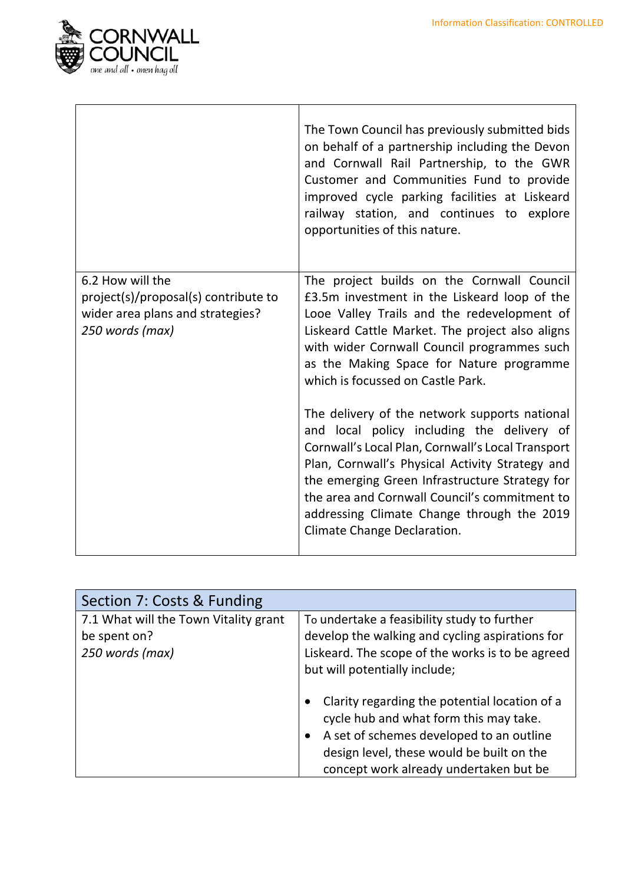

|                                                                                                                 | The Town Council has previously submitted bids<br>on behalf of a partnership including the Devon<br>and Cornwall Rail Partnership, to the GWR<br>Customer and Communities Fund to provide<br>improved cycle parking facilities at Liskeard<br>railway station, and continues to explore<br>opportunities of this nature.                                                            |
|-----------------------------------------------------------------------------------------------------------------|-------------------------------------------------------------------------------------------------------------------------------------------------------------------------------------------------------------------------------------------------------------------------------------------------------------------------------------------------------------------------------------|
| 6.2 How will the<br>project(s)/proposal(s) contribute to<br>wider area plans and strategies?<br>250 words (max) | The project builds on the Cornwall Council<br>£3.5m investment in the Liskeard loop of the<br>Looe Valley Trails and the redevelopment of<br>Liskeard Cattle Market. The project also aligns<br>with wider Cornwall Council programmes such<br>as the Making Space for Nature programme<br>which is focussed on Castle Park.                                                        |
|                                                                                                                 | The delivery of the network supports national<br>and local policy including the delivery of<br>Cornwall's Local Plan, Cornwall's Local Transport<br>Plan, Cornwall's Physical Activity Strategy and<br>the emerging Green Infrastructure Strategy for<br>the area and Cornwall Council's commitment to<br>addressing Climate Change through the 2019<br>Climate Change Declaration. |

| Section 7: Costs & Funding                                               |                                                                                                                                                                                                                            |
|--------------------------------------------------------------------------|----------------------------------------------------------------------------------------------------------------------------------------------------------------------------------------------------------------------------|
| 7.1 What will the Town Vitality grant<br>be spent on?<br>250 words (max) | To undertake a feasibility study to further<br>develop the walking and cycling aspirations for<br>Liskeard. The scope of the works is to be agreed<br>but will potentially include;                                        |
|                                                                          | Clarity regarding the potential location of a<br>cycle hub and what form this may take.<br>A set of schemes developed to an outline<br>design level, these would be built on the<br>concept work already undertaken but be |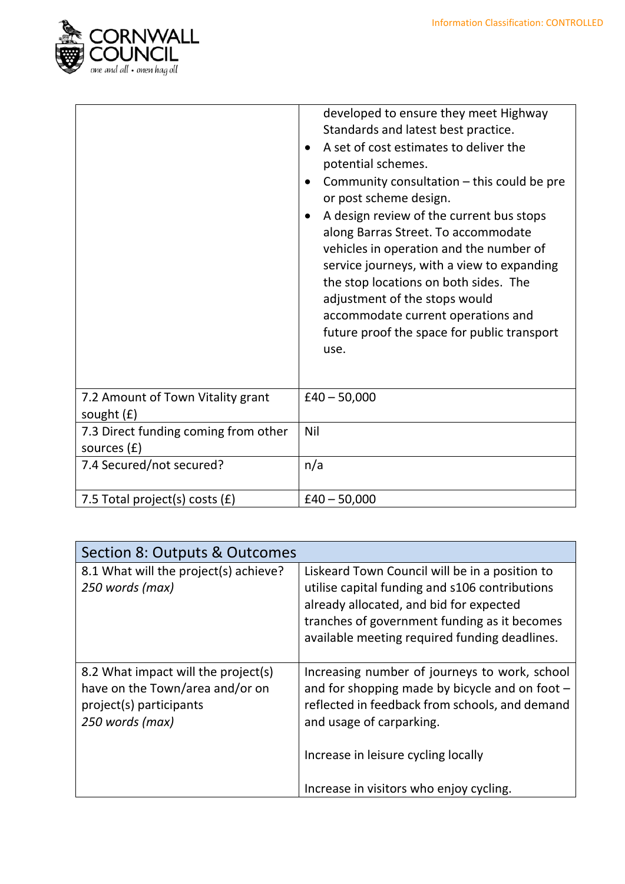

|                                                       | developed to ensure they meet Highway<br>Standards and latest best practice.<br>A set of cost estimates to deliver the<br>$\bullet$<br>potential schemes.<br>Community consultation - this could be pre<br>$\bullet$<br>or post scheme design.<br>A design review of the current bus stops<br>$\bullet$<br>along Barras Street. To accommodate<br>vehicles in operation and the number of<br>service journeys, with a view to expanding<br>the stop locations on both sides. The<br>adjustment of the stops would<br>accommodate current operations and<br>future proof the space for public transport<br>use. |
|-------------------------------------------------------|----------------------------------------------------------------------------------------------------------------------------------------------------------------------------------------------------------------------------------------------------------------------------------------------------------------------------------------------------------------------------------------------------------------------------------------------------------------------------------------------------------------------------------------------------------------------------------------------------------------|
| 7.2 Amount of Town Vitality grant<br>sought $(f)$     | $£40 - 50,000$                                                                                                                                                                                                                                                                                                                                                                                                                                                                                                                                                                                                 |
| 7.3 Direct funding coming from other<br>sources $(f)$ | Nil                                                                                                                                                                                                                                                                                                                                                                                                                                                                                                                                                                                                            |
| 7.4 Secured/not secured?                              | n/a                                                                                                                                                                                                                                                                                                                                                                                                                                                                                                                                                                                                            |
| 7.5 Total project(s) costs $(f)$                      | $£40 - 50,000$                                                                                                                                                                                                                                                                                                                                                                                                                                                                                                                                                                                                 |

| Section 8: Outputs & Outcomes                                                                                        |                                                                                                                                                                                                                                              |
|----------------------------------------------------------------------------------------------------------------------|----------------------------------------------------------------------------------------------------------------------------------------------------------------------------------------------------------------------------------------------|
| 8.1 What will the project(s) achieve?<br>250 words (max)                                                             | Liskeard Town Council will be in a position to<br>utilise capital funding and s106 contributions<br>already allocated, and bid for expected<br>tranches of government funding as it becomes<br>available meeting required funding deadlines. |
| 8.2 What impact will the project(s)<br>have on the Town/area and/or on<br>project(s) participants<br>250 words (max) | Increasing number of journeys to work, school<br>and for shopping made by bicycle and on foot -<br>reflected in feedback from schools, and demand<br>and usage of carparking.                                                                |
|                                                                                                                      | Increase in leisure cycling locally                                                                                                                                                                                                          |
|                                                                                                                      | Increase in visitors who enjoy cycling.                                                                                                                                                                                                      |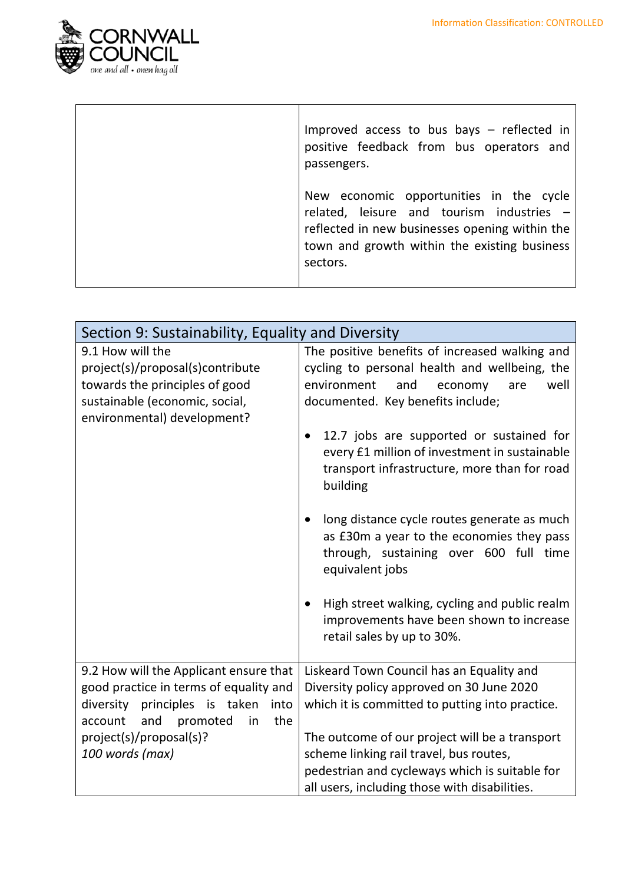

| Improved access to bus bays $-$ reflected in<br>positive feedback from bus operators and<br>passengers.                                                                                            |
|----------------------------------------------------------------------------------------------------------------------------------------------------------------------------------------------------|
| New economic opportunities in the cycle<br>related, leisure and tourism industries -<br>reflected in new businesses opening within the<br>town and growth within the existing business<br>sectors. |

| Section 9: Sustainability, Equality and Diversity                                                                                                                                                                           |                                                                                                                                                                                                                                                                                                                                                                                                                                                                                                        |
|-----------------------------------------------------------------------------------------------------------------------------------------------------------------------------------------------------------------------------|--------------------------------------------------------------------------------------------------------------------------------------------------------------------------------------------------------------------------------------------------------------------------------------------------------------------------------------------------------------------------------------------------------------------------------------------------------------------------------------------------------|
| 9.1 How will the<br>project(s)/proposal(s)contribute<br>towards the principles of good<br>sustainable (economic, social,<br>environmental) development?                                                                     | The positive benefits of increased walking and<br>cycling to personal health and wellbeing, the<br>environment<br>and<br>well<br>economy<br>are<br>documented. Key benefits include;<br>12.7 jobs are supported or sustained for<br>every £1 million of investment in sustainable<br>transport infrastructure, more than for road<br>building<br>long distance cycle routes generate as much<br>as £30m a year to the economies they pass<br>through, sustaining over 600 full time<br>equivalent jobs |
|                                                                                                                                                                                                                             | High street walking, cycling and public realm<br>improvements have been shown to increase<br>retail sales by up to 30%.                                                                                                                                                                                                                                                                                                                                                                                |
| 9.2 How will the Applicant ensure that<br>good practice in terms of equality and<br>diversity<br>principles<br>taken<br>is<br>into<br>promoted<br>the<br>account<br>and<br>in<br>project(s)/proposal(s)?<br>100 words (max) | Liskeard Town Council has an Equality and<br>Diversity policy approved on 30 June 2020<br>which it is committed to putting into practice.<br>The outcome of our project will be a transport<br>scheme linking rail travel, bus routes,<br>pedestrian and cycleways which is suitable for<br>all users, including those with disabilities.                                                                                                                                                              |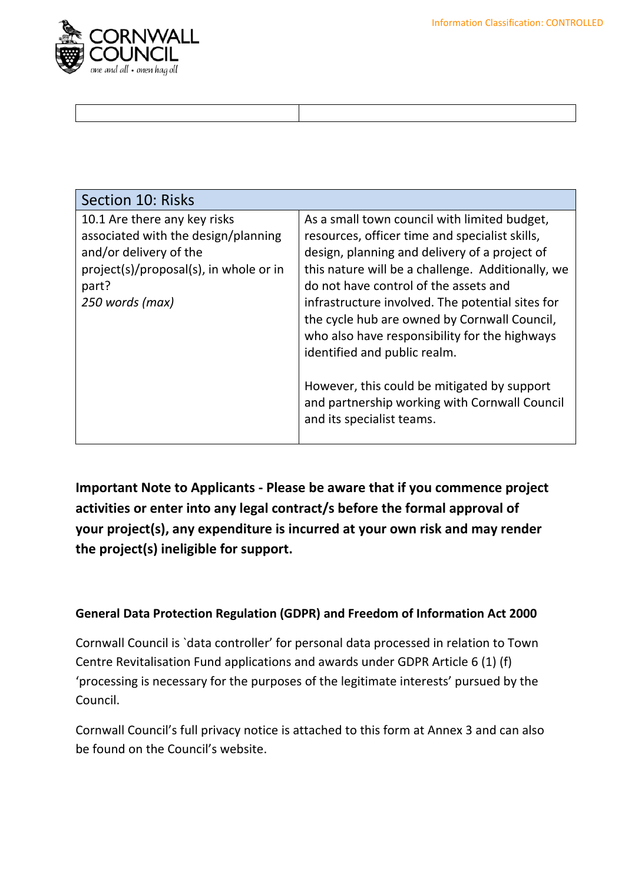

| Section 10: Risks                                                                                                                                                   |                                                                                                                                                                                                                                                                                                                                                                                                                                                                                                                                                                 |
|---------------------------------------------------------------------------------------------------------------------------------------------------------------------|-----------------------------------------------------------------------------------------------------------------------------------------------------------------------------------------------------------------------------------------------------------------------------------------------------------------------------------------------------------------------------------------------------------------------------------------------------------------------------------------------------------------------------------------------------------------|
| 10.1 Are there any key risks<br>associated with the design/planning<br>and/or delivery of the<br>project(s)/proposal(s), in whole or in<br>part?<br>250 words (max) | As a small town council with limited budget,<br>resources, officer time and specialist skills,<br>design, planning and delivery of a project of<br>this nature will be a challenge. Additionally, we<br>do not have control of the assets and<br>infrastructure involved. The potential sites for<br>the cycle hub are owned by Cornwall Council,<br>who also have responsibility for the highways<br>identified and public realm.<br>However, this could be mitigated by support<br>and partnership working with Cornwall Council<br>and its specialist teams. |

**Important Note to Applicants - Please be aware that if you commence project activities or enter into any legal contract/s before the formal approval of your project(s), any expenditure is incurred at your own risk and may render the project(s) ineligible for support.**

#### **General Data Protection Regulation (GDPR) and Freedom of Information Act 2000**

Cornwall Council is `data controller' for personal data processed in relation to Town Centre Revitalisation Fund applications and awards under GDPR Article 6 (1) (f) 'processing is necessary for the purposes of the legitimate interests' pursued by the Council.

Cornwall Council's full privacy notice is attached to this form at Annex 3 and can also be found on the Council's website.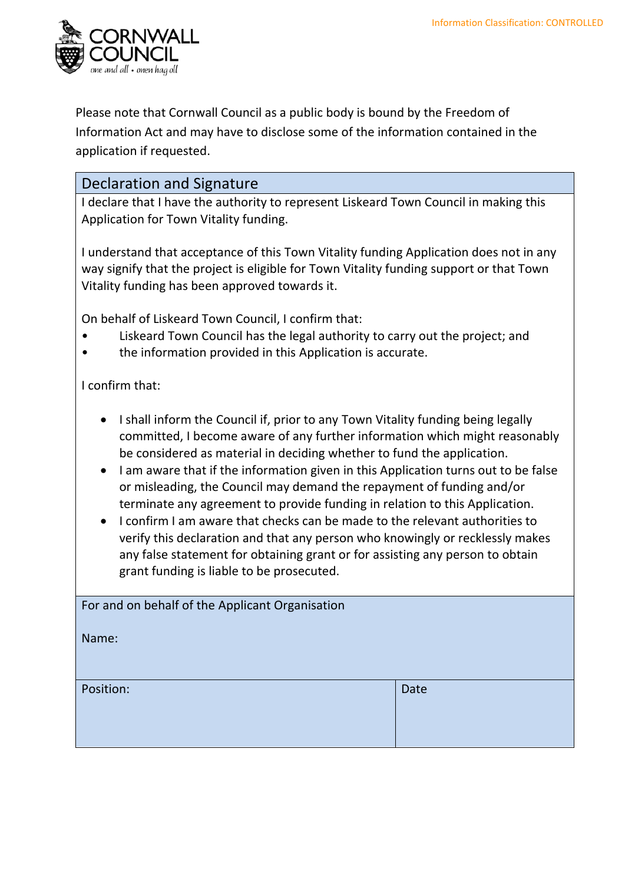

Please note that Cornwall Council as a public body is bound by the Freedom of Information Act and may have to disclose some of the information contained in the application if requested.

#### Declaration and Signature

I declare that I have the authority to represent Liskeard Town Council in making this Application for Town Vitality funding.

I understand that acceptance of this Town Vitality funding Application does not in any way signify that the project is eligible for Town Vitality funding support or that Town Vitality funding has been approved towards it.

On behalf of Liskeard Town Council, I confirm that:

- Liskeard Town Council has the legal authority to carry out the project; and
- the information provided in this Application is accurate.

I confirm that:

- I shall inform the Council if, prior to any Town Vitality funding being legally committed, I become aware of any further information which might reasonably be considered as material in deciding whether to fund the application.
- I am aware that if the information given in this Application turns out to be false or misleading, the Council may demand the repayment of funding and/or terminate any agreement to provide funding in relation to this Application.
- I confirm I am aware that checks can be made to the relevant authorities to verify this declaration and that any person who knowingly or recklessly makes any false statement for obtaining grant or for assisting any person to obtain grant funding is liable to be prosecuted.

| For and on behalf of the Applicant Organisation |      |
|-------------------------------------------------|------|
| Name:                                           |      |
|                                                 |      |
| Position:                                       | Date |
|                                                 |      |
|                                                 |      |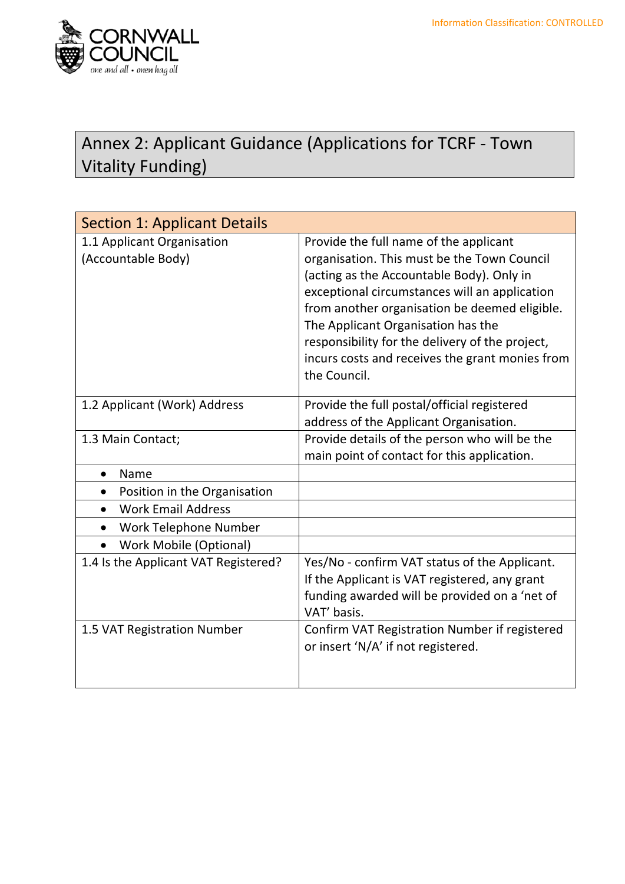

## Annex 2: Applicant Guidance (Applications for TCRF - Town Vitality Funding)

| <b>Section 1: Applicant Details</b>              |                                                                                                                                                                                                                                                                                                                                                                                                  |
|--------------------------------------------------|--------------------------------------------------------------------------------------------------------------------------------------------------------------------------------------------------------------------------------------------------------------------------------------------------------------------------------------------------------------------------------------------------|
| 1.1 Applicant Organisation<br>(Accountable Body) | Provide the full name of the applicant<br>organisation. This must be the Town Council<br>(acting as the Accountable Body). Only in<br>exceptional circumstances will an application<br>from another organisation be deemed eligible.<br>The Applicant Organisation has the<br>responsibility for the delivery of the project,<br>incurs costs and receives the grant monies from<br>the Council. |
| 1.2 Applicant (Work) Address                     | Provide the full postal/official registered<br>address of the Applicant Organisation.                                                                                                                                                                                                                                                                                                            |
| 1.3 Main Contact;                                | Provide details of the person who will be the<br>main point of contact for this application.                                                                                                                                                                                                                                                                                                     |
| Name                                             |                                                                                                                                                                                                                                                                                                                                                                                                  |
| Position in the Organisation                     |                                                                                                                                                                                                                                                                                                                                                                                                  |
| <b>Work Email Address</b><br>$\bullet$           |                                                                                                                                                                                                                                                                                                                                                                                                  |
| Work Telephone Number<br>$\bullet$               |                                                                                                                                                                                                                                                                                                                                                                                                  |
| <b>Work Mobile (Optional)</b>                    |                                                                                                                                                                                                                                                                                                                                                                                                  |
| 1.4 Is the Applicant VAT Registered?             | Yes/No - confirm VAT status of the Applicant.<br>If the Applicant is VAT registered, any grant<br>funding awarded will be provided on a 'net of<br>VAT' basis.                                                                                                                                                                                                                                   |
| 1.5 VAT Registration Number                      | Confirm VAT Registration Number if registered<br>or insert 'N/A' if not registered.                                                                                                                                                                                                                                                                                                              |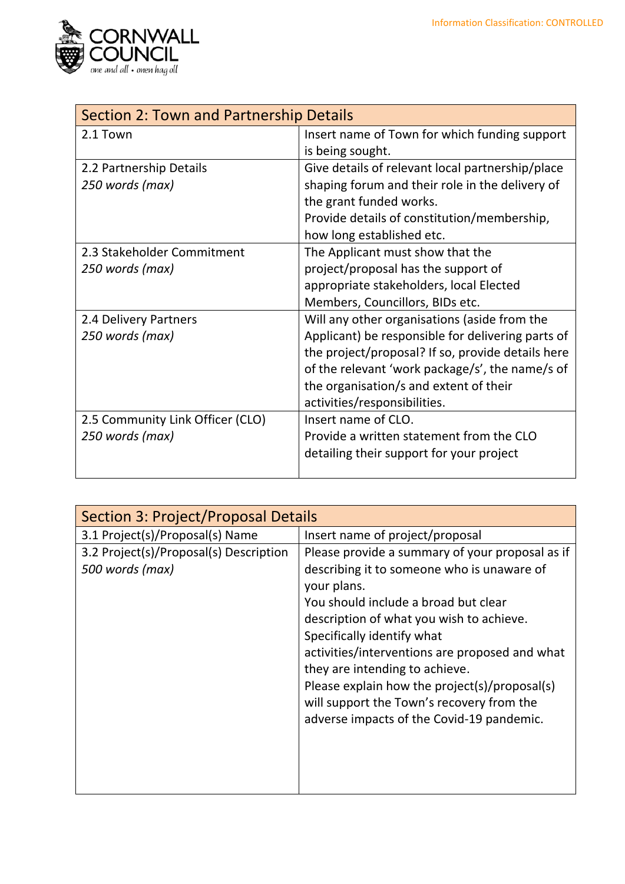

| Section 2: Town and Partnership Details |                                                   |
|-----------------------------------------|---------------------------------------------------|
| 2.1 Town                                | Insert name of Town for which funding support     |
|                                         | is being sought.                                  |
| 2.2 Partnership Details                 | Give details of relevant local partnership/place  |
| 250 words (max)                         | shaping forum and their role in the delivery of   |
|                                         | the grant funded works.                           |
|                                         | Provide details of constitution/membership,       |
|                                         | how long established etc.                         |
| 2.3 Stakeholder Commitment              | The Applicant must show that the                  |
| 250 words (max)                         | project/proposal has the support of               |
|                                         | appropriate stakeholders, local Elected           |
|                                         | Members, Councillors, BIDs etc.                   |
| 2.4 Delivery Partners                   | Will any other organisations (aside from the      |
| 250 words (max)                         | Applicant) be responsible for delivering parts of |
|                                         | the project/proposal? If so, provide details here |
|                                         | of the relevant 'work package/s', the name/s of   |
|                                         | the organisation/s and extent of their            |
|                                         | activities/responsibilities.                      |
| 2.5 Community Link Officer (CLO)        | Insert name of CLO.                               |
| 250 words (max)                         | Provide a written statement from the CLO          |
|                                         | detailing their support for your project          |
|                                         |                                                   |

| <b>Section 3: Project/Proposal Details</b>                |                                                                                                                                                                                                                                                                                                                                                                                                                                                               |
|-----------------------------------------------------------|---------------------------------------------------------------------------------------------------------------------------------------------------------------------------------------------------------------------------------------------------------------------------------------------------------------------------------------------------------------------------------------------------------------------------------------------------------------|
| 3.1 Project(s)/Proposal(s) Name                           | Insert name of project/proposal                                                                                                                                                                                                                                                                                                                                                                                                                               |
| 3.2 Project(s)/Proposal(s) Description<br>500 words (max) | Please provide a summary of your proposal as if<br>describing it to someone who is unaware of<br>your plans.<br>You should include a broad but clear<br>description of what you wish to achieve.<br>Specifically identify what<br>activities/interventions are proposed and what<br>they are intending to achieve.<br>Please explain how the project(s)/proposal(s)<br>will support the Town's recovery from the<br>adverse impacts of the Covid-19 pandemic. |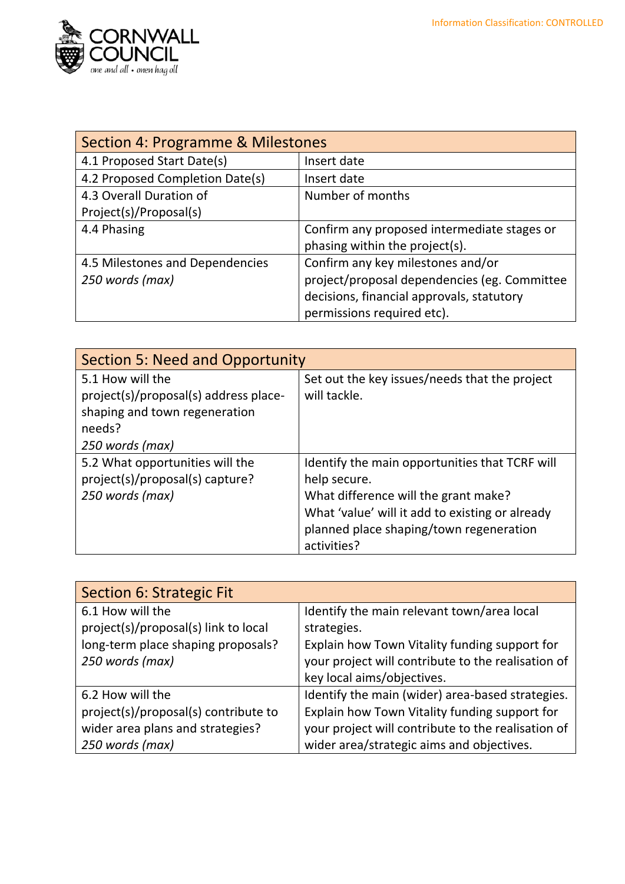

| Section 4: Programme & Milestones |                                              |
|-----------------------------------|----------------------------------------------|
| 4.1 Proposed Start Date(s)        | Insert date                                  |
| 4.2 Proposed Completion Date(s)   | Insert date                                  |
| 4.3 Overall Duration of           | Number of months                             |
| Project(s)/Proposal(s)            |                                              |
| 4.4 Phasing                       | Confirm any proposed intermediate stages or  |
|                                   | phasing within the project(s).               |
| 4.5 Milestones and Dependencies   | Confirm any key milestones and/or            |
| 250 words (max)                   | project/proposal dependencies (eg. Committee |
|                                   | decisions, financial approvals, statutory    |
|                                   | permissions required etc).                   |

| <b>Section 5: Need and Opportunity</b> |                                                 |
|----------------------------------------|-------------------------------------------------|
| 5.1 How will the                       | Set out the key issues/needs that the project   |
| project(s)/proposal(s) address place-  | will tackle.                                    |
| shaping and town regeneration          |                                                 |
| needs?                                 |                                                 |
| 250 words (max)                        |                                                 |
| 5.2 What opportunities will the        | Identify the main opportunities that TCRF will  |
| project(s)/proposal(s) capture?        | help secure.                                    |
| 250 words (max)                        | What difference will the grant make?            |
|                                        | What 'value' will it add to existing or already |
|                                        | planned place shaping/town regeneration         |
|                                        | activities?                                     |

| Section 6: Strategic Fit             |                                                    |
|--------------------------------------|----------------------------------------------------|
| 6.1 How will the                     | Identify the main relevant town/area local         |
| project(s)/proposal(s) link to local | strategies.                                        |
| long-term place shaping proposals?   | Explain how Town Vitality funding support for      |
| 250 words (max)                      | your project will contribute to the realisation of |
|                                      | key local aims/objectives.                         |
| 6.2 How will the                     | Identify the main (wider) area-based strategies.   |
| project(s)/proposal(s) contribute to | Explain how Town Vitality funding support for      |
| wider area plans and strategies?     | your project will contribute to the realisation of |
| 250 words (max)                      | wider area/strategic aims and objectives.          |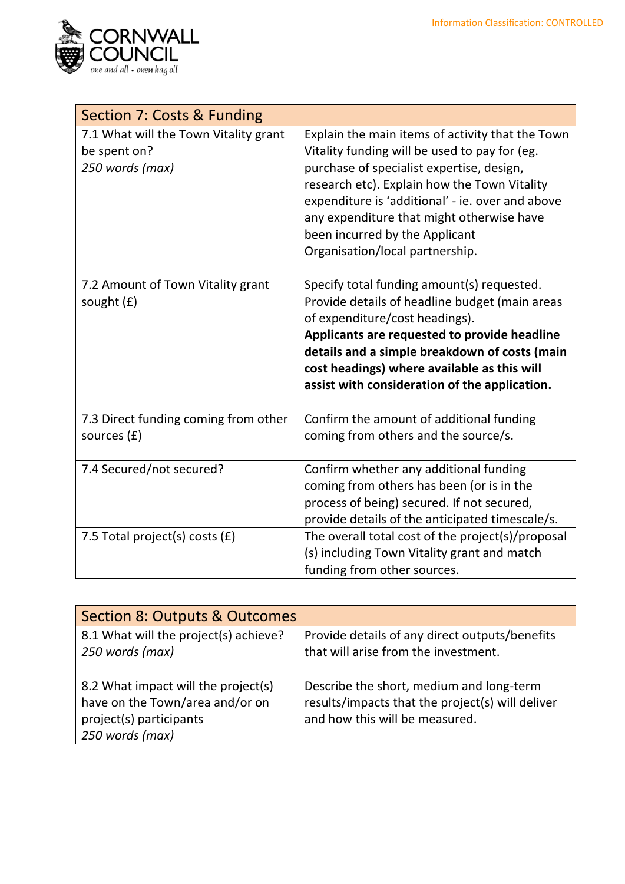

| Section 7: Costs & Funding                                               |                                                                                                                                                                                                                                                                                                                                                                      |
|--------------------------------------------------------------------------|----------------------------------------------------------------------------------------------------------------------------------------------------------------------------------------------------------------------------------------------------------------------------------------------------------------------------------------------------------------------|
| 7.1 What will the Town Vitality grant<br>be spent on?<br>250 words (max) | Explain the main items of activity that the Town<br>Vitality funding will be used to pay for (eg.<br>purchase of specialist expertise, design,<br>research etc). Explain how the Town Vitality<br>expenditure is 'additional' - ie. over and above<br>any expenditure that might otherwise have<br>been incurred by the Applicant<br>Organisation/local partnership. |
| 7.2 Amount of Town Vitality grant<br>sought $(f)$                        | Specify total funding amount(s) requested.<br>Provide details of headline budget (main areas<br>of expenditure/cost headings).<br>Applicants are requested to provide headline<br>details and a simple breakdown of costs (main<br>cost headings) where available as this will<br>assist with consideration of the application.                                      |
| 7.3 Direct funding coming from other<br>sources (£)                      | Confirm the amount of additional funding<br>coming from others and the source/s.                                                                                                                                                                                                                                                                                     |
| 7.4 Secured/not secured?                                                 | Confirm whether any additional funding<br>coming from others has been (or is in the<br>process of being) secured. If not secured,<br>provide details of the anticipated timescale/s.                                                                                                                                                                                 |
| 7.5 Total project(s) costs (£)                                           | The overall total cost of the project(s)/proposal<br>(s) including Town Vitality grant and match<br>funding from other sources.                                                                                                                                                                                                                                      |

| Section 8: Outputs & Outcomes                                                                                        |                                                                                                                                |
|----------------------------------------------------------------------------------------------------------------------|--------------------------------------------------------------------------------------------------------------------------------|
| 8.1 What will the project(s) achieve?<br>250 words (max)                                                             | Provide details of any direct outputs/benefits<br>that will arise from the investment.                                         |
| 8.2 What impact will the project(s)<br>have on the Town/area and/or on<br>project(s) participants<br>250 words (max) | Describe the short, medium and long-term<br>results/impacts that the project(s) will deliver<br>and how this will be measured. |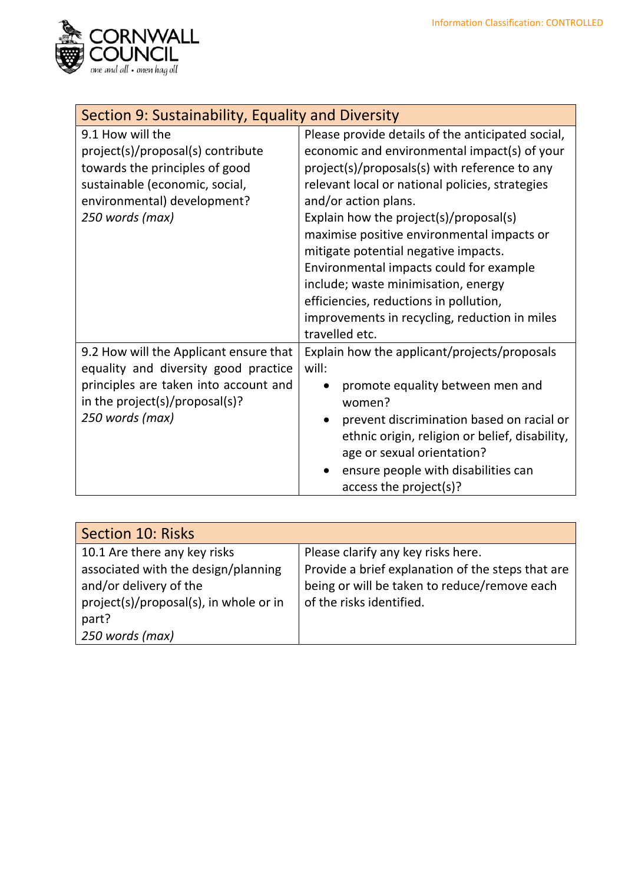

| Section 9: Sustainability, Equality and Diversity                                                                                                                            |                                                                                                                                                                                                                                                                                                                                                                                                                                                                                                                                                              |
|------------------------------------------------------------------------------------------------------------------------------------------------------------------------------|--------------------------------------------------------------------------------------------------------------------------------------------------------------------------------------------------------------------------------------------------------------------------------------------------------------------------------------------------------------------------------------------------------------------------------------------------------------------------------------------------------------------------------------------------------------|
| 9.1 How will the<br>project(s)/proposal(s) contribute<br>towards the principles of good<br>sustainable (economic, social,<br>environmental) development?<br>250 words (max)  | Please provide details of the anticipated social,<br>economic and environmental impact(s) of your<br>project(s)/proposals(s) with reference to any<br>relevant local or national policies, strategies<br>and/or action plans.<br>Explain how the project(s)/proposal(s)<br>maximise positive environmental impacts or<br>mitigate potential negative impacts.<br>Environmental impacts could for example<br>include; waste minimisation, energy<br>efficiencies, reductions in pollution,<br>improvements in recycling, reduction in miles<br>travelled etc. |
| 9.2 How will the Applicant ensure that<br>equality and diversity good practice<br>principles are taken into account and<br>in the project(s)/proposal(s)?<br>250 words (max) | Explain how the applicant/projects/proposals<br>will:<br>promote equality between men and<br>women?<br>prevent discrimination based on racial or<br>ethnic origin, religion or belief, disability,<br>age or sexual orientation?<br>ensure people with disabilities can<br>access the project(s)?                                                                                                                                                                                                                                                            |

| Section 10: Risks                      |                                                   |
|----------------------------------------|---------------------------------------------------|
| 10.1 Are there any key risks           | Please clarify any key risks here.                |
| associated with the design/planning    | Provide a brief explanation of the steps that are |
| and/or delivery of the                 | being or will be taken to reduce/remove each      |
| project(s)/proposal(s), in whole or in | of the risks identified.                          |
| part?                                  |                                                   |
| 250 words (max)                        |                                                   |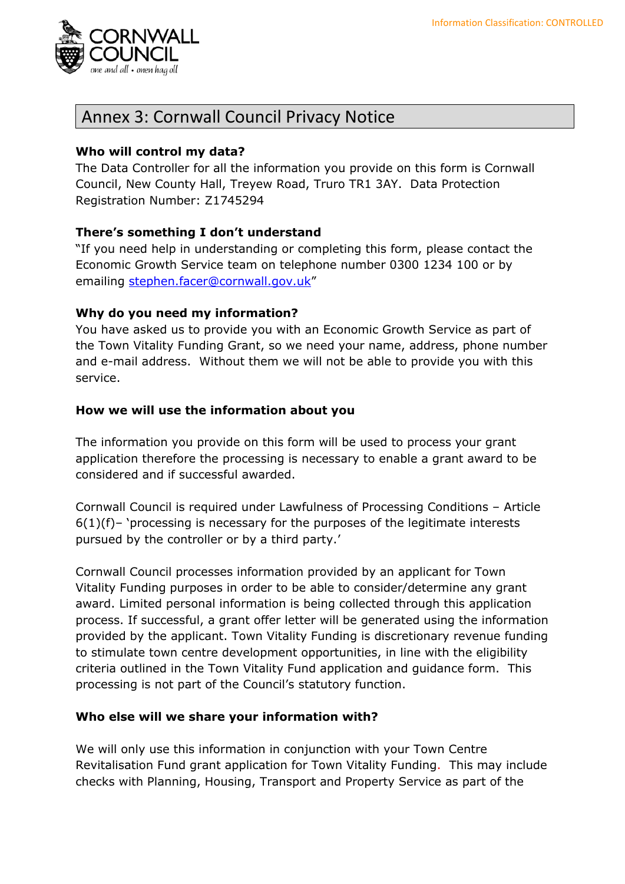

### Annex 3: Cornwall Council Privacy Notice

#### **Who will control my data?**

The Data Controller for all the information you provide on this form is Cornwall Council, New County Hall, Treyew Road, Truro TR1 3AY. Data Protection Registration Number: Z1745294

#### **There's something I don't understand**

"If you need help in understanding or completing this form, please contact the Economic Growth Service team on telephone number 0300 1234 100 or by emailing [stephen.facer@cornwall.gov.uk](mailto:xxxxx@cornwall.gov.uk)"

#### **Why do you need my information?**

You have asked us to provide you with an Economic Growth Service as part of the Town Vitality Funding Grant, so we need your name, address, phone number and e-mail address. Without them we will not be able to provide you with this service.

#### **How we will use the information about you**

The information you provide on this form will be used to process your grant application therefore the processing is necessary to enable a grant award to be considered and if successful awarded.

Cornwall Council is required under Lawfulness of Processing Conditions – Article 6(1)(f)– 'processing is necessary for the purposes of the legitimate interests pursued by the controller or by a third party.'

Cornwall Council processes information provided by an applicant for Town Vitality Funding purposes in order to be able to consider/determine any grant award. Limited personal information is being collected through this application process. If successful, a grant offer letter will be generated using the information provided by the applicant. Town Vitality Funding is discretionary revenue funding to stimulate town centre development opportunities, in line with the eligibility criteria outlined in the Town Vitality Fund application and guidance form. This processing is not part of the Council's statutory function.

#### **Who else will we share your information with?**

We will only use this information in conjunction with your Town Centre Revitalisation Fund grant application for Town Vitality Funding. This may include checks with Planning, Housing, Transport and Property Service as part of the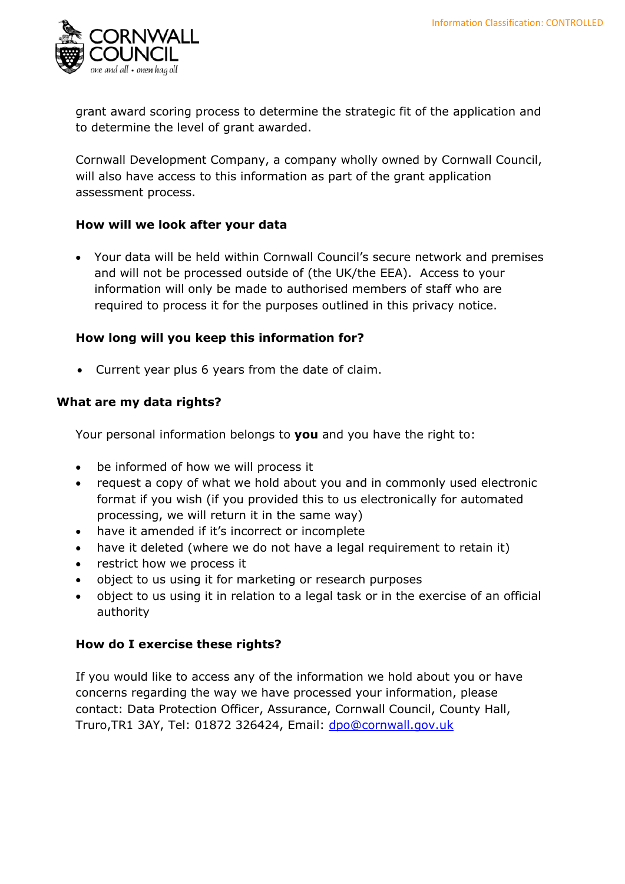

grant award scoring process to determine the strategic fit of the application and to determine the level of grant awarded.

Cornwall Development Company, a company wholly owned by Cornwall Council, will also have access to this information as part of the grant application assessment process.

#### **How will we look after your data**

• Your data will be held within Cornwall Council's secure network and premises and will not be processed outside of (the UK/the EEA). Access to your information will only be made to authorised members of staff who are required to process it for the purposes outlined in this privacy notice.

#### **How long will you keep this information for?**

• Current year plus 6 years from the date of claim.

#### **What are my data rights?**

Your personal information belongs to **you** and you have the right to:

- be informed of how we will process it
- request a copy of what we hold about you and in commonly used electronic format if you wish (if you provided this to us electronically for automated processing, we will return it in the same way)
- have it amended if it's incorrect or incomplete
- have it deleted (where we do not have a legal requirement to retain it)
- restrict how we process it
- object to us using it for marketing or research purposes
- object to us using it in relation to a legal task or in the exercise of an official authority

#### **How do I exercise these rights?**

If you would like to access any of the information we hold about you or have concerns regarding the way we have processed your information, please contact: Data Protection Officer, Assurance, Cornwall Council, County Hall, Truro, TR1 3AY, Tel: 01872 326424, Email: [dpo@cornwall.gov.uk](mailto:dpo@cornwall.gov.uk)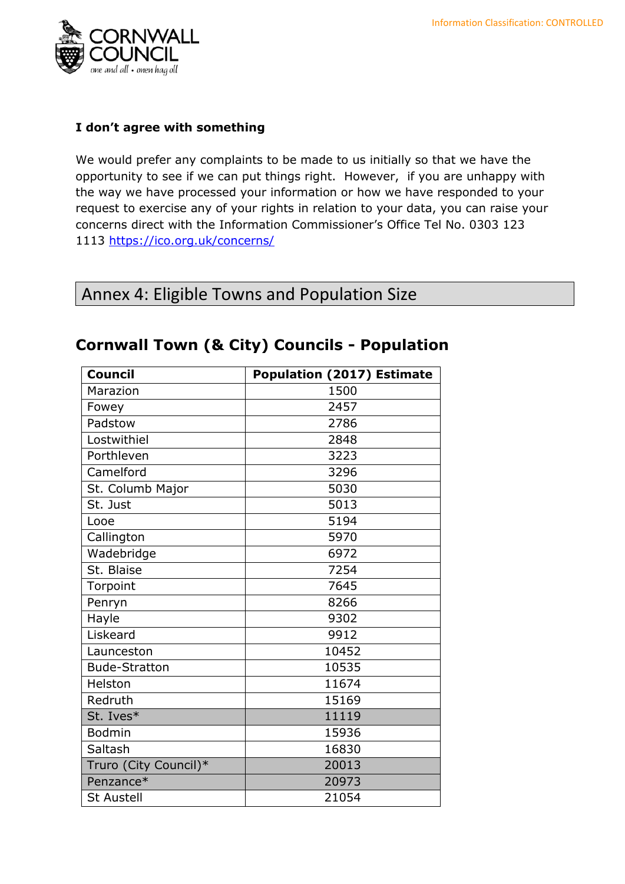

#### **I don't agree with something**

We would prefer any complaints to be made to us initially so that we have the opportunity to see if we can put things right. However, if you are unhappy with the way we have processed your information or how we have responded to your request to exercise any of your rights in relation to your data, you can raise your concerns direct with the Information Commissioner's Office Tel No. 0303 123 1113<https://ico.org.uk/concerns/>

### Annex 4: Eligible Towns and Population Size

| <b>Council</b>        | <b>Population (2017) Estimate</b> |
|-----------------------|-----------------------------------|
| Marazion              | 1500                              |
| Fowey                 | 2457                              |
| Padstow               | 2786                              |
| Lostwithiel           | 2848                              |
| Porthleven            | 3223                              |
| Camelford             | 3296                              |
| St. Columb Major      | 5030                              |
| St. Just              | 5013                              |
| Looe                  | 5194                              |
| Callington            | 5970                              |
| Wadebridge            | 6972                              |
| St. Blaise            | 7254                              |
| Torpoint              | 7645                              |
| Penryn                | 8266                              |
| Hayle                 | 9302                              |
| Liskeard              | 9912                              |
| Launceston            | 10452                             |
| <b>Bude-Stratton</b>  | 10535                             |
| Helston               | 11674                             |
| Redruth               | 15169                             |
| St. Ives*             | 11119                             |
| <b>Bodmin</b>         | 15936                             |
| Saltash               | 16830                             |
| Truro (City Council)* | 20013                             |
| Penzance*             | 20973                             |
| <b>St Austell</b>     | 21054                             |

### **Cornwall Town (& City) Councils - Population**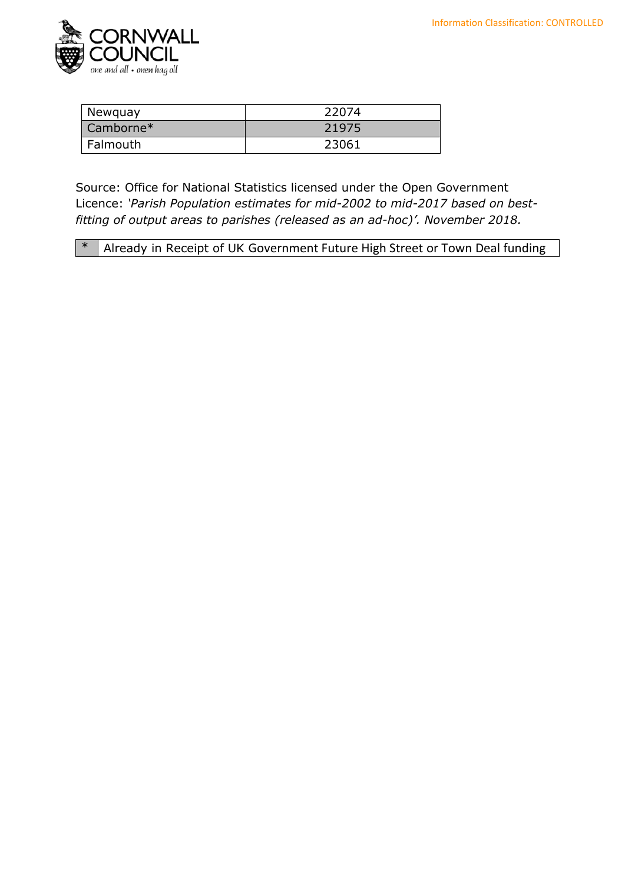

| Newquay     | 22074 |
|-------------|-------|
| $Camborne*$ | 21975 |
| Falmouth    | 23061 |

Source: Office for National Statistics licensed under the Open Government Licence: *'Parish Population estimates for mid-2002 to mid-2017 based on bestfitting of output areas to parishes (released as an ad-hoc)'. November 2018.*

\* Already in Receipt of UK Government Future High Street or Town Deal funding